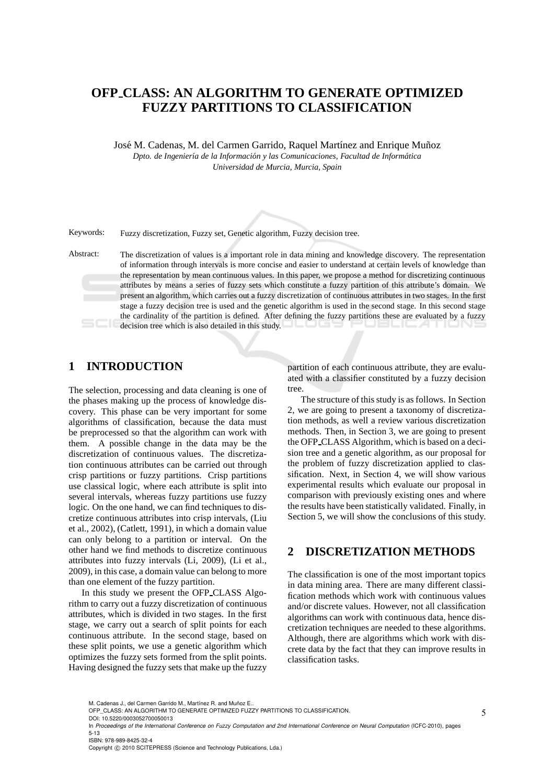# **OFP CLASS: AN ALGORITHM TO GENERATE OPTIMIZED FUZZY PARTITIONS TO CLASSIFICATION**

José M. Cadenas, M. del Carmen Garrido, Raquel Martínez and Enrique Muñoz *Dpto. de Ingenier´ıa de la Informaci´on y las Comunicaciones, Facultad de Inform´atica Universidad de Murcia, Murcia, Spain*

Keywords: Fuzzy discretization, Fuzzy set, Genetic algorithm, Fuzzy decision tree.

Abstract: The discretization of values is a important role in data mining and knowledge discovery. The representation of information through intervals is more concise and easier to understand at certain levels of knowledge than the representation by mean continuous values. In this paper, we propose a method for discretizing continuous attributes by means a series of fuzzy sets which constitute a fuzzy partition of this attribute's domain. We present an algorithm, which carries out a fuzzy discretization of continuous attributes in two stages. In the first stage a fuzzy decision tree is used and the genetic algorithm is used in the second stage. In this second stage the cardinality of the partition is defined. After defining the fuzzy partitions these are evaluated by a fuzzy decision tree which is also detailed in this study.

### **1 INTRODUCTION**

The selection, processing and data cleaning is one of the phases making up the process of knowledge discovery. This phase can be very important for some algorithms of classification, because the data must be preprocessed so that the algorithm can work with them. A possible change in the data may be the discretization of continuous values. The discretization continuous attributes can be carried out through crisp partitions or fuzzy partitions. Crisp partitions use classical logic, where each attribute is split into several intervals, whereas fuzzy partitions use fuzzy logic. On the one hand, we can find techniques to discretize continuous attributes into crisp intervals, (Liu et al., 2002), (Catlett, 1991), in which a domain value can only belong to a partition or interval. On the other hand we find methods to discretize continuous attributes into fuzzy intervals (Li, 2009), (Li et al., 2009), in this case, a domain value can belong to more than one element of the fuzzy partition.

In this study we present the OFP CLASS Algorithm to carry out a fuzzy discretization of continuous attributes, which is divided in two stages. In the first stage, we carry out a search of split points for each continuous attribute. In the second stage, based on these split points, we use a genetic algorithm which optimizes the fuzzy sets formed from the split points. Having designed the fuzzy sets that make up the fuzzy partition of each continuous attribute, they are evaluated with a classifier constituted by a fuzzy decision tree.

The structure of this study is as follows. In Section 2, we are going to present a taxonomy of discretization methods, as well a review various discretization methods. Then, in Section 3, we are going to present the OFP CLASS Algorithm, which is based on a decision tree and a genetic algorithm, as our proposal for the problem of fuzzy discretization applied to classification. Next, in Section 4, we will show various experimental results which evaluate our proposal in comparison with previously existing ones and where the results have been statistically validated. Finally, in Section 5, we will show the conclusions of this study.

#### **2 DISCRETIZATION METHODS**

The classification is one of the most important topics in data mining area. There are many different classification methods which work with continuous values and/or discrete values. However, not all classification algorithms can work with continuous data, hence discretization techniques are needed to these algorithms. Although, there are algorithms which work with discrete data by the fact that they can improve results in classification tasks.

ISBN: 978-989-8425-32-4

M. Cadenas J., del Carmen Garrido M., Martínez R. and Muñoz E..

OFP\_CLASS: AN ALGORITHM TO GENERATE OPTIMIZED FUZZY PARTITIONS TO CLASSIFICATION.

DOI: 10.5220/0003052700050013

In *Proceedings of the International Conference on Fuzzy Computation and 2nd International Conference on Neural Computation* (ICFC-2010), pages 5-13

Copyright © 2010 SCITEPRESS (Science and Technology Publications, Lda.)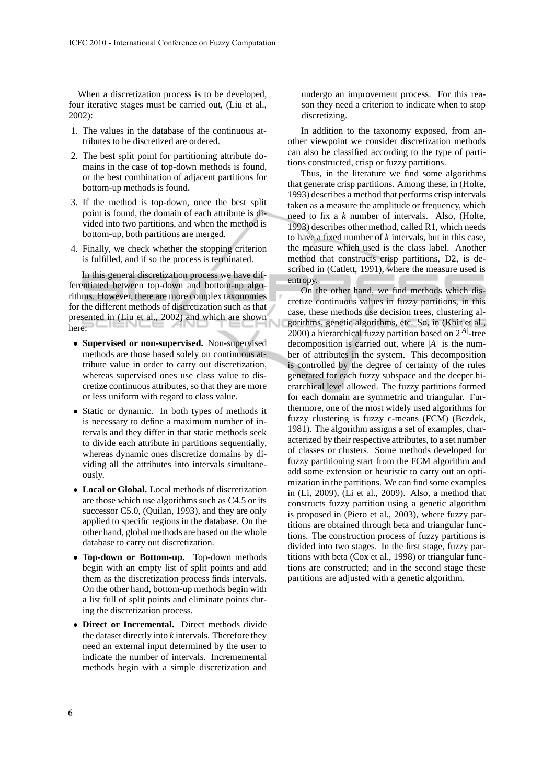When a discretization process is to be developed, four iterative stages must be carried out, (Liu et al., 2002):

- 1. The values in the database of the continuous attributes to be discretized are ordered.
- 2. The best split point for partitioning attribute domains in the case of top-down methods is found, or the best combination of adjacent partitions for bottom-up methods is found.
- 3. If the method is top-down, once the best split point is found, the domain of each attribute is divided into two partitions, and when the method is bottom-up, both partitions are merged.
- 4. Finally, we check whether the stopping criterion is fulfilled, and if so the process is terminated.

In this general discretization process we have differentiated between top-down and bottom-up algorithms. However, there are more complex taxonomies for the different methods of discretization such as that presented in (Liu et al., 2002) and which are shown here:

- **Supervised or non-supervised.** Non-supervised methods are those based solely on continuous attribute value in order to carry out discretization, whereas supervised ones use class value to discretize continuous attributes, so that they are more or less uniform with regard to class value.
- Static or dynamic. In both types of methods it is necessary to define a maximum number of intervals and they differ in that static methods seek to divide each attribute in partitions sequentially, whereas dynamic ones discretize domains by dividing all the attributes into intervals simultaneously.
- **Local or Global.** Local methods of discretization are those which use algorithms such as C4.5 or its successor C5.0, (Quilan, 1993), and they are only applied to specific regions in the database. On the other hand, global methods are based on the whole database to carry out discretization.
- **Top-down or Bottom-up.** Top-down methods begin with an empty list of split points and add them as the discretization process finds intervals. On the other hand, bottom-up methods begin with a list full of split points and eliminate points during the discretization process.
- **Direct or Incremental.** Direct methods divide the dataset directly into *k* intervals. Therefore they need an external input determined by the user to indicate the number of intervals. Incrememental methods begin with a simple discretization and

undergo an improvement process. For this reason they need a criterion to indicate when to stop discretizing.

In addition to the taxonomy exposed, from another viewpoint we consider discretization methods can also be classified according to the type of partitions constructed, crisp or fuzzy partitions.

Thus, in the literature we find some algorithms that generate crisp partitions. Among these, in (Holte, 1993) describes a method that performs crisp intervals taken as a measure the amplitude or frequency, which need to fix a *k* number of intervals. Also, (Holte, 1993) describes other method, called R1, which needs to have a fixed number of *k* intervals, but in this case, the measure which used is the class label. Another method that constructs crisp partitions, D2, is described in (Catlett, 1991), where the measure used is entropy.

On the other hand, we find methods which discretize continuous values in fuzzy partitions, in this case, these methods use decision trees, clustering algorithms, genetic algorithms, etc. So, in (Kbir et al., 2000) a hierarchical fuzzy partition based on 2|*A*<sup>|</sup> -tree decomposition is carried out, where |*A*| is the number of attributes in the system. This decomposition is controlled by the degree of certainty of the rules generated for each fuzzy subspace and the deeper hierarchical level allowed. The fuzzy partitions formed for each domain are symmetric and triangular. Furthermore, one of the most widely used algorithms for fuzzy clustering is fuzzy c-means (FCM) (Bezdek, 1981). The algorithm assigns a set of examples, characterized by their respective attributes, to a set number of classes or clusters. Some methods developed for fuzzy partitioning start from the FCM algorithm and add some extension or heuristic to carry out an optimization in the partitions. We can find some examples in (Li, 2009), (Li et al., 2009). Also, a method that constructs fuzzy partition using a genetic algorithm is proposed in (Piero et al., 2003), where fuzzy partitions are obtained through beta and triangular functions. The construction process of fuzzy partitions is divided into two stages. In the first stage, fuzzy partitions with beta (Cox et al., 1998) or triangular functions are constructed; and in the second stage these partitions are adjusted with a genetic algorithm.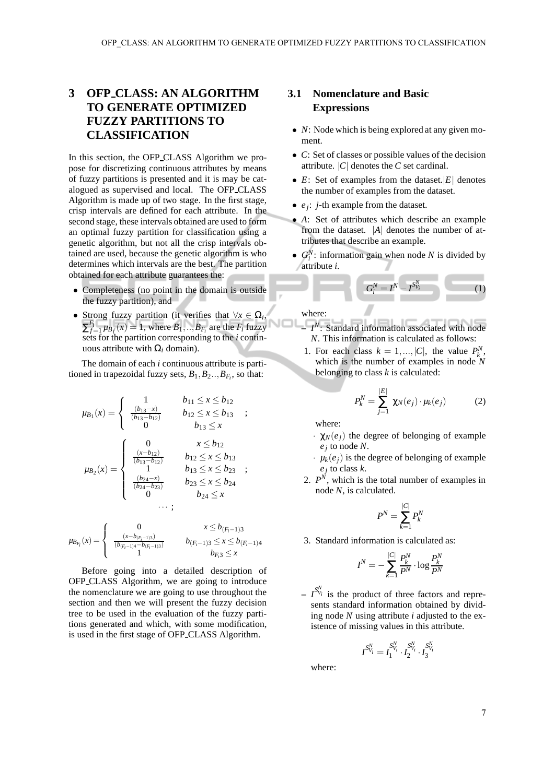## **3 OFP CLASS: AN ALGORITHM TO GENERATE OPTIMIZED FUZZY PARTITIONS TO CLASSIFICATION**

In this section, the OFP CLASS Algorithm we propose for discretizing continuous attributes by means of fuzzy partitions is presented and it is may be catalogued as supervised and local. The OFP CLASS Algorithm is made up of two stage. In the first stage, crisp intervals are defined for each attribute. In the second stage, these intervals obtained are used to form an optimal fuzzy partition for classification using a genetic algorithm, but not all the crisp intervals obtained are used, because the genetic algorithm is who determines which intervals are the best. The partition obtained for each attribute guarantees the:

- Completeness (no point in the domain is outside the fuzzy partition), and
- Strong fuzzy partition (it verifies that  $\forall x \in \Omega_i$ ,  $\sum_{f=1}^{F_i} \mu_{B_f}(x) = 1$ , where  $B_1, ..., B_{F_i}$  are the  $F_i$  fuzzy sets for the partition corresponding to the *i* continuous attribute with  $Ω<sub>i</sub>$  domain).

The domain of each *i* continuous attribute is partitioned in trapezoidal fuzzy sets,  $B_1, B_2, \ldots, B_{F_i}$ , so that:

$$
\mu_{B_1}(x) = \begin{cases}\n1 & b_{11} \le x \le b_{12} \\
\frac{(b_{13} - x)}{(b_{13} - b_{12})} & b_{12} \le x \le b_{13} \\
0 & b_{13} \le x\n\end{cases}
$$
;  
\n
$$
\mu_{B_2}(x) = \begin{cases}\n0 & x \le b_{12} \\
\frac{(x - b_{12})}{(b_{13} - b_{12})} & b_{12} \le x \le b_{13} \\
1 & b_{13} \le x \le b_{23} \\
\frac{(b_{24} - x)}{(b_{24} - b_{23})} & b_{23} \le x \le b_{24} \\
0 & b_{24} \le x\n\end{cases}
$$

$$
\mu_{B_{F_i}}(x) = \begin{cases}\n0 & x \le b_{(F_i-1)3} \\
\frac{(x - b_{(F_i-1)3})}{(b_{(F_i-1)4} - b_{(F_i-1)3})} & b_{(F_i-1)3} \le x \le b_{(F_i-1)4} \\
1 & b_{F_i3} \le x\n\end{cases}
$$

Before going into a detailed description of OFP CLASS Algorithm, we are going to introduce the nomenclature we are going to use throughout the section and then we will present the fuzzy decision tree to be used in the evaluation of the fuzzy partitions generated and which, with some modification, is used in the first stage of OFP CLASS Algorithm.

### **3.1 Nomenclature and Basic Expressions**

- *N*: Node which is being explored at any given moment.
- *C*: Set of classes or possible values of the decision attribute. |*C*| denotes the *C* set cardinal.
- *E*: Set of examples from the dataset.|*E*| denotes the number of examples from the dataset.
- *e<sup>j</sup>* : *j*-th example from the dataset.
- *A*: Set of attributes which describe an example from the dataset. |*A*| denotes the number of attributes that describe an example.
- $G_i^N$ : information gain when node *N* is divided by attribute *i*.

$$
G_i^N = I^N - I^{S_{V_i}^N} \tag{1}
$$

where:

VOI

- **–** *I <sup>N</sup>*: Standard information associated with node *N*. This information is calculated as follows:
- 1. For each class  $k = 1, ..., |C|$ , the value  $P_k^N$ , which is the number of examples in node *N* belonging to class *k* is calculated:

$$
P_k^N = \sum_{j=1}^{|E|} \chi_N(e_j) \cdot \mu_k(e_j) \tag{2}
$$

where:

- $\cdot$   $\chi_N(e_i)$  the degree of belonging of example *ej* to node *N*.
- $\cdot$   $\mu_k(e_i)$  is the degree of belonging of example *ej* to class *k*.
- 2.  $P^N$ , which is the total number of examples in node *N*, is calculated.

$$
P^N = \sum_{k=1}^{|C|} P_k^N
$$

3. Standard information is calculated as:

$$
I^N = -\sum_{k=1}^{|C|} \frac{P_k^N}{P^N} \cdot \log \frac{P_k^N}{P^N}
$$

 $I = I^{S_{V_i}^N}$  is the product of three factors and represents standard information obtained by dividing node *N* using attribute *i* adjusted to the existence of missing values in this attribute.

$$
I^{S_{V_i}^N} = I_1^{S_{V_i}^N} \cdot I_2^{S_{V_i}^N} \cdot I_3^{S_{V_i}^N}
$$

where: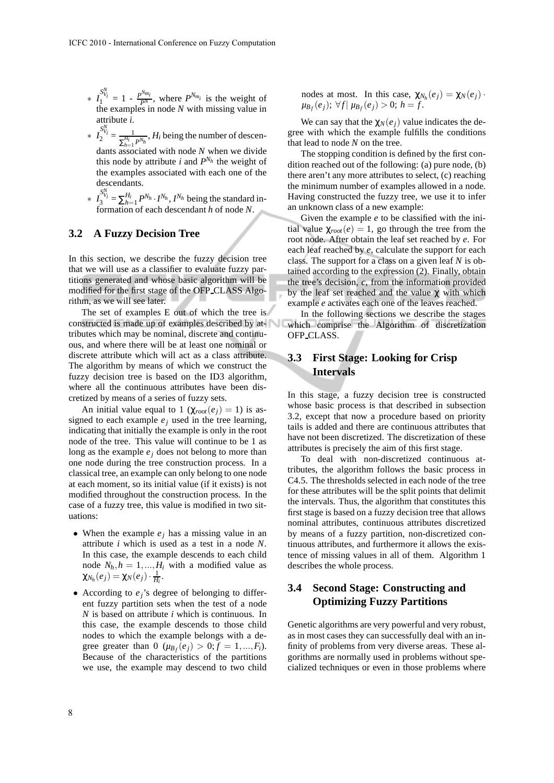- $\times I_1^{S_{V_i}^N} = 1 \frac{P^{N_{m_i}}}{P^N}$ , where  $P^{N_{m_i}}$  is the weight of the examples in node *N* with missing value in attribute *i*.
- $\ast$   $I_2^{S_{V_i}^N} = \frac{1}{\sqrt{H_i}}$  $\frac{1}{\sum_{h=1}^{H_i} P^{N_h}}$ ,  $H_i$  being the number of descendants associated with node  $N$  when we divide this node by attribute *i* and  $P^{N_h}$  the weight of the examples associated with each one of the descendants.
- $\frac{1}{2} \sum_{j=1}^{N_i} P^{N_h} \cdot I^{N_h} \cdot I^{N_h}$  being the standard information of each descendant *h* of node *N*.

#### **3.2 A Fuzzy Decision Tree**

In this section, we describe the fuzzy decision tree that we will use as a classifier to evaluate fuzzy partitions generated and whose basic algorithm will be modified for the first stage of the OFP CLASS Algorithm, as we will see later.

The set of examples E out of which the tree is constructed is made up of examples described by attributes which may be nominal, discrete and continuous, and where there will be at least one nominal or discrete attribute which will act as a class attribute. The algorithm by means of which we construct the fuzzy decision tree is based on the ID3 algorithm, where all the continuous attributes have been discretized by means of a series of fuzzy sets.

An initial value equal to 1 ( $\chi_{root}(e_i) = 1$ ) is assigned to each example  $e_i$  used in the tree learning, indicating that initially the example is only in the root node of the tree. This value will continue to be 1 as long as the example  $e_j$  does not belong to more than one node during the tree construction process. In a classical tree, an example can only belong to one node at each moment, so its initial value (if it exists) is not modified throughout the construction process. In the case of a fuzzy tree, this value is modified in two situations:

- When the example  $e_j$  has a missing value in an attribute *i* which is used as a test in a node *N*. In this case, the example descends to each child node  $N_h$ ,  $h = 1, ..., H_i$  with a modified value as  $\chi_{N_h}(e_j) = \chi_N(e_j) \cdot \frac{1}{H_i}.$
- According to *ej*'s degree of belonging to different fuzzy partition sets when the test of a node *N* is based on attribute *i* which is continuous. In this case, the example descends to those child nodes to which the example belongs with a degree greater than 0 ( $\mu_{B_f}(e_j) > 0; f = 1, ..., F_i$ ). Because of the characteristics of the partitions we use, the example may descend to two child

nodes at most. In this case,  $\chi_{N_h}(e_j) = \chi_N(e_j)$ .  $\mu_{B_f}(e_j)$ ;  $\forall f | \mu_{B_f}(e_j) > 0$ ;  $h = f$ .

We can say that the  $\chi_N(e_i)$  value indicates the degree with which the example fulfills the conditions that lead to node *N* on the tree.

The stopping condition is defined by the first condition reached out of the following: (a) pure node, (b) there aren't any more attributes to select, (c) reaching the minimum number of examples allowed in a node. Having constructed the fuzzy tree, we use it to infer an unknown class of a new example:

Given the example *e* to be classified with the initial value  $\chi_{root}(e) = 1$ , go through the tree from the root node. After obtain the leaf set reached by *e*. For each leaf reached by *e*, calculate the support for each class. The support for a class on a given leaf *N* is obtained according to the expression (2). Finally, obtain the tree's decision, *c*, from the information provided by the leaf set reached and the value χ with which example *e* activates each one of the leaves reached.

In the following sections we describe the stages which comprise the Algorithm of discretization OFP CLASS.

### **3.3 First Stage: Looking for Crisp Intervals**

In this stage, a fuzzy decision tree is constructed whose basic process is that described in subsection 3.2, except that now a procedure based on priority tails is added and there are continuous attributes that have not been discretized. The discretization of these attributes is precisely the aim of this first stage.

To deal with non-discretized continuous attributes, the algorithm follows the basic process in C4.5. The thresholds selected in each node of the tree for these attributes will be the split points that delimit the intervals. Thus, the algorithm that constitutes this first stage is based on a fuzzy decision tree that allows nominal attributes, continuous attributes discretized by means of a fuzzy partition, non-discretized continuous attributes, and furthermore it allows the existence of missing values in all of them. Algorithm 1 describes the whole process.

### **3.4 Second Stage: Constructing and Optimizing Fuzzy Partitions**

Genetic algorithms are very powerful and very robust, as in most cases they can successfully deal with an infinity of problems from very diverse areas. These algorithms are normally used in problems without specialized techniques or even in those problems where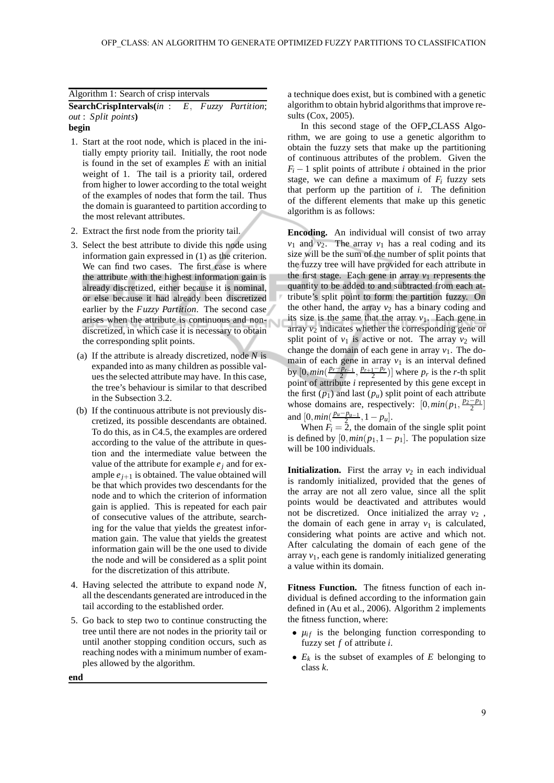| Algorithm 1: Search of crisp intervals |  |  |  |  |  |  |
|----------------------------------------|--|--|--|--|--|--|
|----------------------------------------|--|--|--|--|--|--|

**SearchCrispIntervals(***in* : *E*, *Fuzzy Partition*; *out* : *Split points***)**

**begin**

- 1. Start at the root node, which is placed in the initially empty priority tail. Initially, the root node is found in the set of examples *E* with an initial weight of 1. The tail is a priority tail, ordered from higher to lower according to the total weight of the examples of nodes that form the tail. Thus the domain is guaranteed to partition according to the most relevant attributes.
- 2. Extract the first node from the priority tail.
- 3. Select the best attribute to divide this node using information gain expressed in (1) as the criterion. We can find two cases. The first case is where the attribute with the highest information gain is already discretized, either because it is nominal, or else because it had already been discretized earlier by the *Fuzzy Partition*. The second case arises when the attribute is continuous and nondiscretized, in which case it is necessary to obtain the corresponding split points.
	- (a) If the attribute is already discretized, node *N* is expanded into as many children as possible values the selected attribute may have. In this case, the tree's behaviour is similar to that described in the Subsection 3.2.
- (b) If the continuous attribute is not previously discretized, its possible descendants are obtained. To do this, as in C4.5, the examples are ordered according to the value of the attribute in question and the intermediate value between the value of the attribute for example  $e_j$  and for example  $e_{i+1}$  is obtained. The value obtained will be that which provides two descendants for the node and to which the criterion of information gain is applied. This is repeated for each pair of consecutive values of the attribute, searching for the value that yields the greatest information gain. The value that yields the greatest information gain will be the one used to divide the node and will be considered as a split point for the discretization of this attribute.
- 4. Having selected the attribute to expand node *N*, all the descendants generated are introduced in the tail according to the established order.
- 5. Go back to step two to continue constructing the tree until there are not nodes in the priority tail or until another stopping condition occurs, such as reaching nodes with a minimum number of examples allowed by the algorithm.

a technique does exist, but is combined with a genetic algorithm to obtain hybrid algorithms that improve results (Cox, 2005).

In this second stage of the OFP CLASS Algorithm, we are going to use a genetic algorithm to obtain the fuzzy sets that make up the partitioning of continuous attributes of the problem. Given the  $F_i - 1$  split points of attribute *i* obtained in the prior stage, we can define a maximum of  $F_i$  fuzzy sets that perform up the partition of *i*. The definition of the different elements that make up this genetic algorithm is as follows:

**Encoding.** An individual will consist of two array  $v_1$  and  $v_2$ . The array  $v_1$  has a real coding and its size will be the sum of the number of split points that the fuzzy tree will have provided for each attribute in the first stage. Each gene in array  $v_1$  represents the quantity to be added to and subtracted from each attribute's split point to form the partition fuzzy. On the other hand, the array  $v_2$  has a binary coding and its size is the same that the array  $v_1$ . Each gene in array  $v_2$  indicates whether the corresponding gene or split point of  $v_1$  is active or not. The array  $v_2$  will change the domain of each gene in array  $v_1$ . The domain of each gene in array  $v_1$  is an interval defined by  $[0, min(\frac{p_r-p_{r-1}}{2}, \frac{p_{r+1}-p_r}{2})]$  where  $p_r$  is the *r*-th split point of attribute *i* represented by this gene except in the first  $(p_1)$  and last  $(p_u)$  split point of each attribute whose domains are, respectively:  $[0, min(p_1, \frac{p_2-p_1}{2}]$ and  $[0, min(\frac{p_u-p_{u-1}}{2}, 1-p_u].$ 

When  $\hat{F}_i = \hat{2}$ , the domain of the single split point is defined by  $[0, min(p_1, 1-p_1)]$ . The population size will be 100 individuals.

**Initialization.** First the array  $v_2$  in each individual is randomly initialized, provided that the genes of the array are not all zero value, since all the split points would be deactivated and attributes would not be discretized. Once initialized the array  $v_2$ , the domain of each gene in array  $v_1$  is calculated, considering what points are active and which not. After calculating the domain of each gene of the array  $v_1$ , each gene is randomly initialized generating a value within its domain.

**Fitness Function.** The fitness function of each individual is defined according to the information gain defined in (Au et al., 2006). Algorithm 2 implements the fitness function, where:

- $\mu_{if}$  is the belonging function corresponding to fuzzy set *f* of attribute *i*.
- $E_k$  is the subset of examples of  $E$  belonging to class *k*.

**end**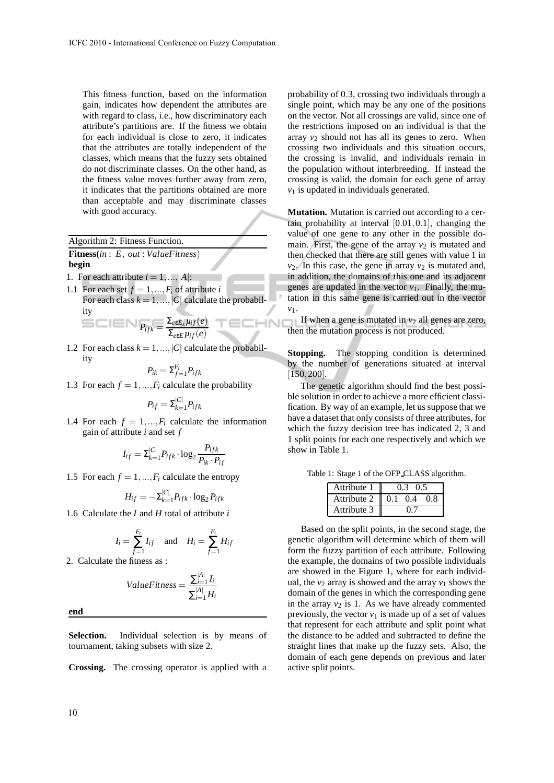This fitness function, based on the information gain, indicates how dependent the attributes are with regard to class, i.e., how discriminatory each attribute's partitions are. If the fitness we obtain for each individual is close to zero, it indicates that the attributes are totally independent of the classes, which means that the fuzzy sets obtained do not discriminate classes. On the other hand, as the fitness value moves further away from zero, it indicates that the partitions obtained are more than acceptable and may discriminate classes with good accuracy.

Algorithm 2: Fitness Function.

**Fitness(***in* : *E*, *out* : *ValueFitness*) **begin**

- 1. For each attribute  $i = 1, ..., |A|$ :
- 1.1 For each set  $f = 1, ..., F_i$  of attribute *i* For each class  $k = 1, ..., |C|$  calculate the probability Š **INI**

$$
P_{ijk} = \frac{\Sigma_{e\in E_k} \mu_{if}(e)}{\Sigma_{e\in E} \mu_{if}(e)}
$$

1.2 For each class  $k = 1, ..., |C|$  calculate the probability

$$
P_{ik} = \sum_{f=1}^{F_i} P_{ifk}
$$

1.3 For each  $f = 1, ..., F_i$  calculate the probability

$$
P_{if} = \Sigma_{k=1}^{|C|} P_{ifk}
$$

1.4 For each  $f = 1, ..., F_i$  calculate the information gain of attribute *i* and set *f*

$$
I_{if} = \sum_{k=1}^{|C|} P_{ifk} \cdot \log_2 \frac{P_{ifk}}{P_{ik} \cdot P_{if}}
$$

1.5 For each  $f = 1, ..., F_i$  calculate the entropy

$$
H_{if} = -\Sigma_{k=1}^{|C|} P_{ifk} \cdot \log_2 P_{ifk}
$$

1.6 Calculate the *I* and *H* total of attribute *i*

$$
I_i = \sum_{f=1}^{F_i} I_{if} \quad \text{and} \quad H_i = \sum_{f=1}^{F_i} H_{if}
$$

2. Calculate the fitness as :

$$
ValueFitness = \frac{\sum_{i=1}^{|A|} I_i}{\sum_{i=1}^{|A|} H_i}
$$

**end**

**Selection.** Individual selection is by means of tournament, taking subsets with size 2.

**Crossing.** The crossing operator is applied with a

probability of 0.3, crossing two individuals through a single point, which may be any one of the positions on the vector. Not all crossings are valid, since one of the restrictions imposed on an individual is that the array  $v_2$  should not has all its genes to zero. When crossing two individuals and this situation occurs, the crossing is invalid, and individuals remain in the population without interbreeding. If instead the crossing is valid, the domain for each gene of array  $v_1$  is updated in individuals generated.

**Mutation.** Mutation is carried out according to a certain probability at interval [0.01,0.1], changing the value of one gene to any other in the possible domain. First, the gene of the array  $v_2$  is mutated and then checked that there are still genes with value 1 in  $v_2$ . In this case, the gene in array  $v_2$  is mutated and, in addition, the domains of this one and its adjacent genes are updated in the vector  $v_1$ . Finally, the mutation in this same gene is carried out in the vector *v*1.

If when a gene is mutated in  $v_2$  all genes are zero, then the mutation process is not produced.

**Stopping.** The stopping condition is determined by the number of generations situated at interval [150,200].

The genetic algorithm should find the best possible solution in order to achieve a more efficient classification. By way of an example, let us suppose that we have a dataset that only consists of three attributes, for which the fuzzy decision tree has indicated 2, 3 and 1 split points for each one respectively and which we show in Table 1.

Table 1: Stage 1 of the OFP CLASS algorithm.

| Attribute $1 \parallel$     | 0.3 <sup>2</sup><br>(0.5) |  |  |
|-----------------------------|---------------------------|--|--|
| Attribute $2 \parallel 0.1$ | 0.4<br>0.8                |  |  |
| Attribute 3                 | 07                        |  |  |

Based on the split points, in the second stage, the genetic algorithm will determine which of them will form the fuzzy partition of each attribute. Following the example, the domains of two possible individuals are showed in the Figure 1, where for each individual, the  $v_2$  array is showed and the array  $v_1$  shows the domain of the genes in which the corresponding gene in the array  $v_2$  is 1. As we have already commented previously, the vector  $v_1$  is made up of a set of values that represent for each attribute and split point what the distance to be added and subtracted to define the straight lines that make up the fuzzy sets. Also, the domain of each gene depends on previous and later active split points.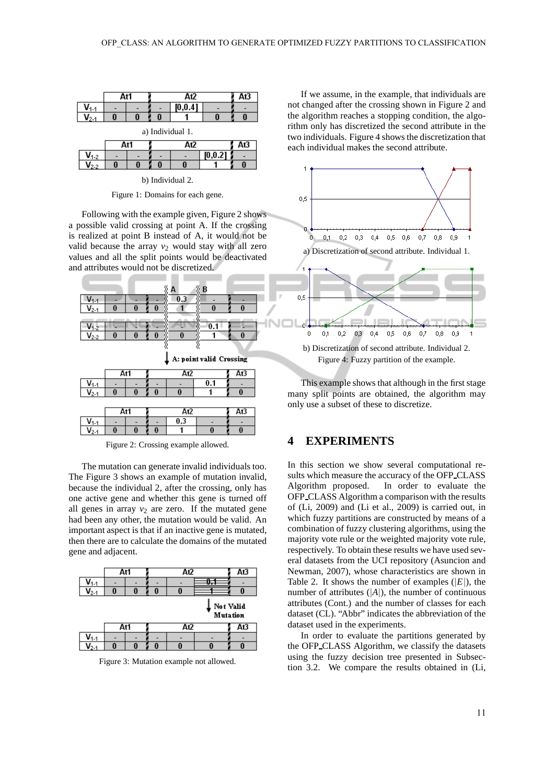

b) Individual 2.

Figure 1: Domains for each gene.

Following with the example given, Figure 2 shows a possible valid crossing at point A. If the crossing is realized at point B instead of A, it would not be valid because the array  $v_2$  would stay with all zero values and all the split points would be deactivated and attributes would not be discretized.



Figure 2: Crossing example allowed.

The mutation can generate invalid individuals too. The Figure 3 shows an example of mutation invalid, because the individual 2, after the crossing, only has one active gene and whether this gene is turned off all genes in array  $v_2$  are zero. If the mutated gene had been any other, the mutation would be valid. An important aspect is that if an inactive gene is mutated, then there are to calculate the domains of the mutated gene and adjacent.



Figure 3: Mutation example not allowed.

If we assume, in the example, that individuals are not changed after the crossing shown in Figure 2 and the algorithm reaches a stopping condition, the algorithm only has discretized the second attribute in the two individuals. Figure 4 shows the discretization that each individual makes the second attribute.



Figure 4: Fuzzy partition of the example.

This example shows that although in the first stage many split points are obtained, the algorithm may only use a subset of these to discretize.

#### **4 EXPERIMENTS**

In this section we show several computational results which measure the accuracy of the OFP CLASS Algorithm proposed. In order to evaluate the OFP CLASS Algorithm a comparison with the results of (Li, 2009) and (Li et al., 2009) is carried out, in which fuzzy partitions are constructed by means of a combination of fuzzy clustering algorithms, using the majority vote rule or the weighted majority vote rule, respectively. To obtain these results we have used several datasets from the UCI repository (Asuncion and Newman, 2007), whose characteristics are shown in Table 2. It shows the number of examples  $(|E|)$ , the number of attributes  $(|A|)$ , the number of continuous attributes (Cont.) and the number of classes for each dataset (CL). "Abbr" indicates the abbreviation of the dataset used in the experiments.

In order to evaluate the partitions generated by the OFP CLASS Algorithm, we classify the datasets using the fuzzy decision tree presented in Subsection 3.2. We compare the results obtained in (Li,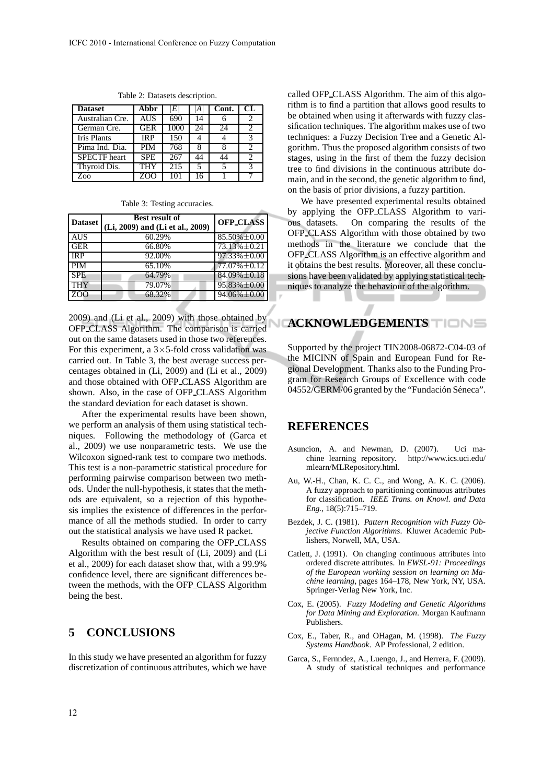| <b>Dataset</b>      | <b>Abbr</b> | E    | А  | Cont. | CL             |
|---------------------|-------------|------|----|-------|----------------|
| Australian Cre.     | AUS         | 690  | 14 |       |                |
| German Cre.         | <b>GER</b>  | 1000 | 24 | 24    | $\overline{c}$ |
| Iris Plants         | <b>IRP</b>  | 150  |    |       |                |
| Pima Ind. Dia.      | PIM         | 768  |    |       | 2              |
| <b>SPECTF</b> heart | <b>SPE</b>  | 267  | 44 | 44    | 2              |
| Thyroid Dis.        | THY         | 215  |    |       | 3              |
| Zoo                 | ZOO         | 101  | 16 |       |                |

Table 2: Datasets description.

|  | Table 3: Testing accuracies. |
|--|------------------------------|

| <b>Dataset</b> | <b>Best result of</b><br>(Li, 2009) and (Li et al., 2009) | <b>OFP_CLASS</b>   |
|----------------|-----------------------------------------------------------|--------------------|
| <b>AUS</b>     | 60.29%                                                    | $85.50\% \pm 0.00$ |
| <b>GER</b>     | 66.80%                                                    | $73.13\% \pm 0.21$ |
| <b>IRP</b>     | 92.00%                                                    | $97.33\% \pm 0.00$ |
| PIM            | 65.10%                                                    | $77.07\% \pm 0.12$ |
| <b>SPE</b>     | 64.79%                                                    | $84.09\% \pm 0.18$ |
| <b>THY</b>     | 79.07%                                                    | $95.83\% \pm 0.00$ |
| ZOO            | 68.32%                                                    | $94.06\% \pm 0.00$ |

2009) and (Li et al., 2009) with those obtained by OFP CLASS Algorithm. The comparison is carried out on the same datasets used in those two references. For this experiment, a  $3\times5$ -fold cross validation was carried out. In Table 3, the best average success percentages obtained in (Li, 2009) and (Li et al., 2009) and those obtained with OFP CLASS Algorithm are shown. Also, in the case of OFP CLASS Algorithm the standard deviation for each dataset is shown.

After the experimental results have been shown, we perform an analysis of them using statistical techniques. Following the methodology of (Garca et al., 2009) we use nonparametric tests. We use the Wilcoxon signed-rank test to compare two methods. This test is a non-parametric statistical procedure for performing pairwise comparison between two methods. Under the null-hypothesis, it states that the methods are equivalent, so a rejection of this hypothesis implies the existence of differences in the performance of all the methods studied. In order to carry out the statistical analysis we have used R packet.

Results obtained on comparing the OFP CLASS Algorithm with the best result of (Li, 2009) and (Li et al., 2009) for each dataset show that, with a 99.9% confidence level, there are significant differences between the methods, with the OFP CLASS Algorithm being the best.

#### **5 CONCLUSIONS**

In this study we have presented an algorithm for fuzzy discretization of continuous attributes, which we have called OFP CLASS Algorithm. The aim of this algorithm is to find a partition that allows good results to be obtained when using it afterwards with fuzzy classification techniques. The algorithm makes use of two techniques: a Fuzzy Decision Tree and a Genetic Algorithm. Thus the proposed algorithm consists of two stages, using in the first of them the fuzzy decision tree to find divisions in the continuous attribute domain, and in the second, the genetic algorithm to find, on the basis of prior divisions, a fuzzy partition.

We have presented experimental results obtained by applying the OFP CLASS Algorithm to various datasets. On comparing the results of the OFP CLASS Algorithm with those obtained by two methods in the literature we conclude that the OFP CLASS Algorithm is an effective algorithm and it obtains the best results. Moreover, all these conclusions have been validated by applying statistical techniques to analyze the behaviour of the algorithm.

# **ACKNOWLEDGEMENTS**

Supported by the project TIN2008-06872-C04-03 of the MICINN of Spain and European Fund for Regional Development. Thanks also to the Funding Program for Research Groups of Excellence with code 04552/GERM/06 granted by the "Fundación Séneca".

#### **REFERENCES**

- Asuncion, A. and Newman, D. (2007). Uci machine learning repository. http://www.ics.uci.edu/ mlearn/MLRepository.html.
- Au, W.-H., Chan, K. C. C., and Wong, A. K. C. (2006). A fuzzy approach to partitioning continuous attributes for classification. *IEEE Trans. on Knowl. and Data Eng.*, 18(5):715–719.
- Bezdek, J. C. (1981). *Pattern Recognition with Fuzzy Objective Function Algorithms*. Kluwer Academic Publishers, Norwell, MA, USA.
- Catlett, J. (1991). On changing continuous attributes into ordered discrete attributes. In *EWSL-91: Proceedings of the European working session on learning on Machine learning*, pages 164–178, New York, NY, USA. Springer-Verlag New York, Inc.
- Cox, E. (2005). *Fuzzy Modeling and Genetic Algorithms for Data Mining and Exploration*. Morgan Kaufmann Publishers.
- Cox, E., Taber, R., and OHagan, M. (1998). *The Fuzzy Systems Handbook*. AP Professional, 2 edition.
- Garca, S., Fernndez, A., Luengo, J., and Herrera, F. (2009). A study of statistical techniques and performance